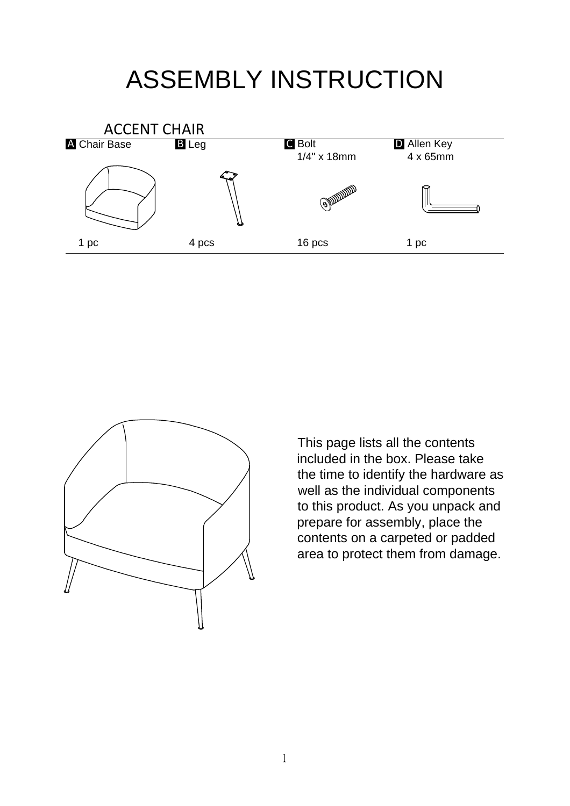## ASSEMBLY INSTRUCTION





This page lists all the contents included in the box. Please take the time to identify the hardware as well as the individual components to this product. As you unpack and prepare for assembly, place the contents on a carpeted or padded area to protect them from damage.